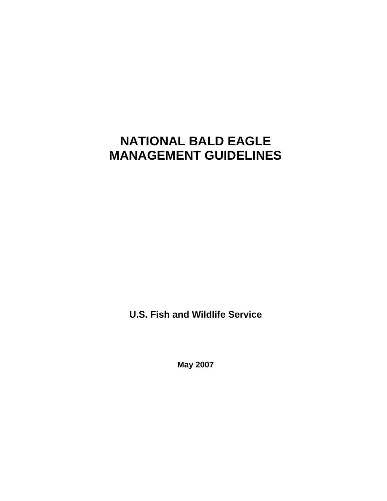# **NATIONAL BALD EAGLE MANAGEMENT GUIDELINES**

**U.S. Fish and Wildlife Service**

**May 2007**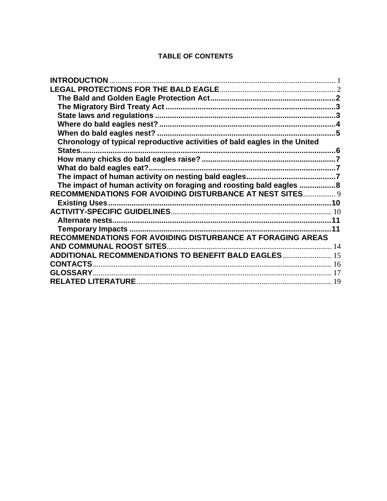# **TABLE OF CONTENTS**

| <b>INTRODUCTION</b>                                                        |  |
|----------------------------------------------------------------------------|--|
|                                                                            |  |
|                                                                            |  |
|                                                                            |  |
|                                                                            |  |
|                                                                            |  |
|                                                                            |  |
| Chronology of typical reproductive activities of bald eagles in the United |  |
| States.                                                                    |  |
|                                                                            |  |
|                                                                            |  |
|                                                                            |  |
| The impact of human activity on foraging and roosting bald eagles 8        |  |
| RECOMMENDATIONS FOR AVOIDING DISTURBANCE AT NEST SITES 9                   |  |
|                                                                            |  |
|                                                                            |  |
|                                                                            |  |
|                                                                            |  |
| RECOMMENDATIONS FOR AVOIDING DISTURBANCE AT FORAGING AREAS                 |  |
| <b>AND COMMUNAL ROOST SITES.</b>                                           |  |
| ADDITIONAL RECOMMENDATIONS TO BENEFIT BALD EAGLES 15                       |  |
| <b>CONTACTS</b>                                                            |  |
|                                                                            |  |
|                                                                            |  |
|                                                                            |  |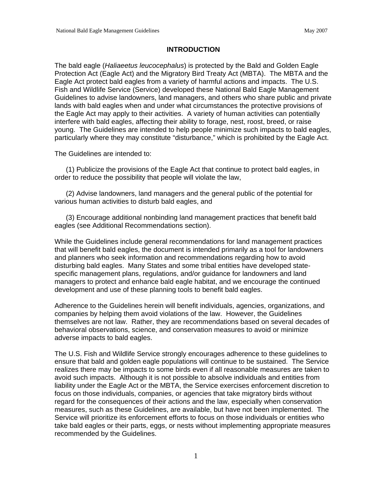# **INTRODUCTION**

The bald eagle (*Haliaeetus leucocephalus*) is protected by the Bald and Golden Eagle Protection Act (Eagle Act) and the Migratory Bird Treaty Act (MBTA). The MBTA and the Eagle Act protect bald eagles from a variety of harmful actions and impacts. The U.S. Fish and Wildlife Service (Service) developed these National Bald Eagle Management Guidelines to advise landowners, land managers, and others who share public and private lands with bald eagles when and under what circumstances the protective provisions of the Eagle Act may apply to their activities. A variety of human activities can potentially interfere with bald eagles, affecting their ability to forage, nest, roost, breed, or raise young. The Guidelines are intended to help people minimize such impacts to bald eagles, particularly where they may constitute "disturbance," which is prohibited by the Eagle Act.

The Guidelines are intended to:

(1) Publicize the provisions of the Eagle Act that continue to protect bald eagles, in order to reduce the possibility that people will violate the law,

(2) Advise landowners, land managers and the general public of the potential for various human activities to disturb bald eagles, and

(3) Encourage additional nonbinding land management practices that benefit bald eagles (see Additional Recommendations section).

While the Guidelines include general recommendations for land management practices that will benefit bald eagles, the document is intended primarily as a tool for landowners and planners who seek information and recommendations regarding how to avoid disturbing bald eagles. Many States and some tribal entities have developed statespecific management plans, regulations, and/or guidance for landowners and land managers to protect and enhance bald eagle habitat, and we encourage the continued development and use of these planning tools to benefit bald eagles.

Adherence to the Guidelines herein will benefit individuals, agencies, organizations, and companies by helping them avoid violations of the law. However, the Guidelines themselves are not law. Rather, they are recommendations based on several decades of behavioral observations, science, and conservation measures to avoid or minimize adverse impacts to bald eagles.

The U.S. Fish and Wildlife Service strongly encourages adherence to these guidelines to ensure that bald and golden eagle populations will continue to be sustained. The Service realizes there may be impacts to some birds even if all reasonable measures are taken to avoid such impacts. Although it is not possible to absolve individuals and entities from liability under the Eagle Act or the MBTA, the Service exercises enforcement discretion to focus on those individuals, companies, or agencies that take migratory birds without regard for the consequences of their actions and the law, especially when conservation measures, such as these Guidelines, are available, but have not been implemented. The Service will prioritize its enforcement efforts to focus on those individuals or entities who take bald eagles or their parts, eggs, or nests without implementing appropriate measures recommended by the Guidelines.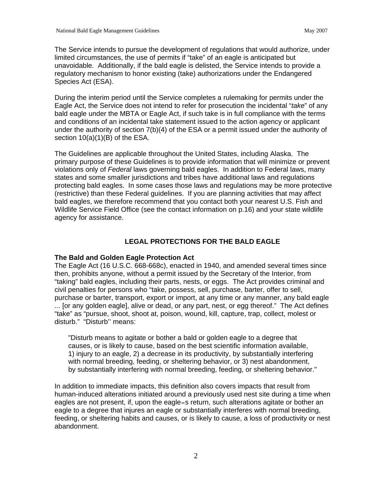The Service intends to pursue the development of regulations that would authorize, under limited circumstances, the use of permits if "take" of an eagle is anticipated but unavoidable. Additionally, if the bald eagle is delisted, the Service intends to provide a regulatory mechanism to honor existing (take) authorizations under the Endangered Species Act (ESA).

During the interim period until the Service completes a rulemaking for permits under the Eagle Act, the Service does not intend to refer for prosecution the incidental "*take*" of any bald eagle under the MBTA or Eagle Act, if such take is in full compliance with the terms and conditions of an incidental take statement issued to the action agency or applicant under the authority of section 7(b)(4) of the ESA or a permit issued under the authority of section  $10(a)(1)(B)$  of the ESA.

The Guidelines are applicable throughout the United States, including Alaska. The primary purpose of these Guidelines is to provide information that will minimize or prevent violations only of *Federal* laws governing bald eagles. In addition to Federal laws, many states and some smaller jurisdictions and tribes have additional laws and regulations protecting bald eagles. In some cases those laws and regulations may be more protective (restrictive) than these Federal guidelines. If you are planning activities that may affect bald eagles, we therefore recommend that you contact both your nearest U.S. Fish and Wildlife Service Field Office (see the contact information on p.16) and your state wildlife agency for assistance.

## **LEGAL PROTECTIONS FOR THE BALD EAGLE**

#### **The Bald and Golden Eagle Protection Act**

The Eagle Act (16 U.S.C. 668-668c), enacted in 1940, and amended several times since then, prohibits anyone, without a permit issued by the Secretary of the Interior, from "taking" bald eagles, including their parts, nests, or eggs. The Act provides criminal and civil penalties for persons who "take, possess, sell, purchase, barter, offer to sell, purchase or barter, transport, export or import, at any time or any manner, any bald eagle ... [or any golden eagle], alive or dead, or any part, nest, or egg thereof." The Act defines "take" as "pursue, shoot, shoot at, poison, wound, kill, capture, trap, collect, molest or disturb." "Disturb'' means:

"Disturb means to agitate or bother a bald or golden eagle to a degree that causes, or is likely to cause, based on the best scientific information available, 1) injury to an eagle, 2) a decrease in its productivity, by substantially interfering with normal breeding, feeding, or sheltering behavior, or 3) nest abandonment, by substantially interfering with normal breeding, feeding, or sheltering behavior."

In addition to immediate impacts, this definition also covers impacts that result from human-induced alterations initiated around a previously used nest site during a time when eagles are not present, if, upon the eagle=s return, such alterations agitate or bother an eagle to a degree that injures an eagle or substantially interferes with normal breeding, feeding, or sheltering habits and causes, or is likely to cause, a loss of productivity or nest abandonment.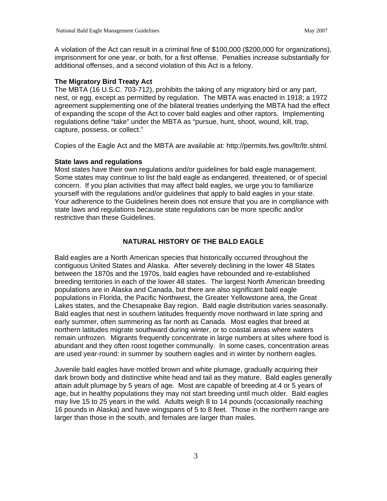A violation of the Act can result in a criminal fine of \$100,000 (\$200,000 for organizations), imprisonment for one year, or both, for a first offense. Penalties increase substantially for additional offenses, and a second violation of this Act is a felony.

#### **The Migratory Bird Treaty Act**

The MBTA (16 U.S.C. 703-712), prohibits the taking of any migratory bird or any part, nest, or egg, except as permitted by regulation. The MBTA was enacted in 1918; a 1972 agreement supplementing one of the bilateral treaties underlying the MBTA had the effect of expanding the scope of the Act to cover bald eagles and other raptors. Implementing regulations define "take" under the MBTA as "pursue, hunt, shoot, wound, kill, trap, capture, possess, or collect."

Copies of the Eagle Act and the MBTA are available at: http://permits.fws.gov/ltr/ltr.shtml.

#### **State laws and regulations**

Most states have their own regulations and/or guidelines for bald eagle management. Some states may continue to list the bald eagle as endangered, threatened, or of special concern. If you plan activities that may affect bald eagles, we urge you to familiarize yourself with the regulations and/or guidelines that apply to bald eagles in your state. Your adherence to the Guidelines herein does not ensure that you are in compliance with state laws and regulations because state regulations can be more specific and/or restrictive than these Guidelines.

# **NATURAL HISTORY OF THE BALD EAGLE**

Bald eagles are a North American species that historically occurred throughout the contiguous United States and Alaska. After severely declining in the lower 48 States between the 1870s and the 1970s, bald eagles have rebounded and re-established breeding territories in each of the lower 48 states. The largest North American breeding populations are in Alaska and Canada, but there are also significant bald eagle populations in Florida, the Pacific Northwest, the Greater Yellowstone area, the Great Lakes states, and the Chesapeake Bay region. Bald eagle distribution varies seasonally. Bald eagles that nest in southern latitudes frequently move northward in late spring and early summer, often summering as far north as Canada. Most eagles that breed at northern latitudes migrate southward during winter, or to coastal areas where waters remain unfrozen. Migrants frequently concentrate in large numbers at sites where food is abundant and they often roost together communally. In some cases, concentration areas are used year-round: in summer by southern eagles and in winter by northern eagles.

Juvenile bald eagles have mottled brown and white plumage, gradually acquiring their dark brown body and distinctive white head and tail as they mature. Bald eagles generally attain adult plumage by 5 years of age. Most are capable of breeding at 4 or 5 years of age, but in healthy populations they may not start breeding until much older. Bald eagles may live 15 to 25 years in the wild. Adults weigh 8 to 14 pounds (occasionally reaching 16 pounds in Alaska) and have wingspans of 5 to 8 feet. Those in the northern range are larger than those in the south, and females are larger than males.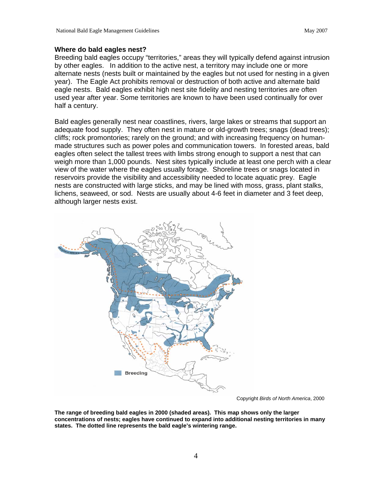#### **Where do bald eagles nest?**

Breeding bald eagles occupy "territories," areas they will typically defend against intrusion by other eagles. In addition to the active nest, a territory may include one or more alternate nests (nests built or maintained by the eagles but not used for nesting in a given year). The Eagle Act prohibits removal or destruction of both active and alternate bald eagle nests. Bald eagles exhibit high nest site fidelity and nesting territories are often used year after year. Some territories are known to have been used continually for over half a century.

Bald eagles generally nest near coastlines, rivers, large lakes or streams that support an adequate food supply. They often nest in mature or old-growth trees; snags (dead trees); cliffs; rock promontories; rarely on the ground; and with increasing frequency on humanmade structures such as power poles and communication towers. In forested areas, bald eagles often select the tallest trees with limbs strong enough to support a nest that can weigh more than 1,000 pounds. Nest sites typically include at least one perch with a clear view of the water where the eagles usually forage. Shoreline trees or snags located in reservoirs provide the visibility and accessibility needed to locate aquatic prey. Eagle nests are constructed with large sticks, and may be lined with moss, grass, plant stalks, lichens, seaweed, or sod. Nests are usually about 4-6 feet in diameter and 3 feet deep, although larger nests exist.



Copyright *Birds of North America*, 2000

**The range of breeding bald eagles in 2000 (shaded areas). This map shows only the larger concentrations of nests; eagles have continued to expand into additional nesting territories in many states. The dotted line represents the bald eagle's wintering range.**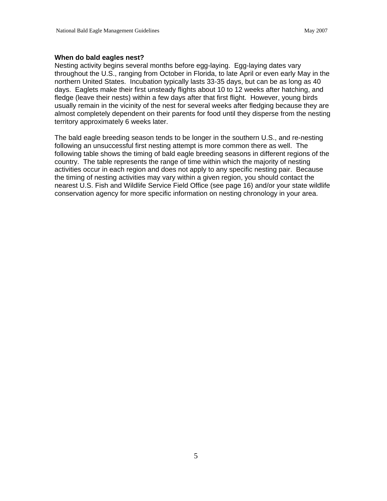#### **When do bald eagles nest?**

Nesting activity begins several months before egg-laying. Egg-laying dates vary throughout the U.S., ranging from October in Florida, to late April or even early May in the northern United States. Incubation typically lasts 33-35 days, but can be as long as 40 days. Eaglets make their first unsteady flights about 10 to 12 weeks after hatching, and fledge (leave their nests) within a few days after that first flight. However, young birds usually remain in the vicinity of the nest for several weeks after fledging because they are almost completely dependent on their parents for food until they disperse from the nesting territory approximately 6 weeks later.

The bald eagle breeding season tends to be longer in the southern U.S., and re-nesting following an unsuccessful first nesting attempt is more common there as well. The following table shows the timing of bald eagle breeding seasons in different regions of the country. The table represents the range of time within which the majority of nesting activities occur in each region and does not apply to any specific nesting pair. Because the timing of nesting activities may vary within a given region, you should contact the nearest U.S. Fish and Wildlife Service Field Office (see page 16) and/or your state wildlife conservation agency for more specific information on nesting chronology in your area.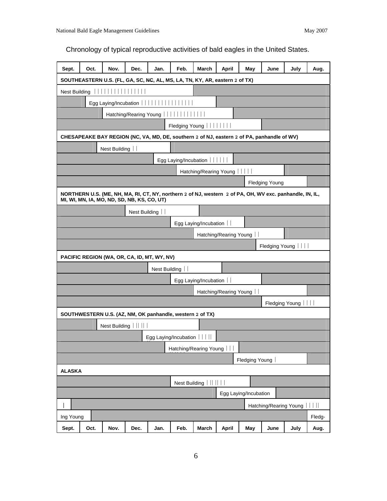# Chronology of typical reproductive activities of bald eagles in the United States.

| Sept.                                                                                                                                                   | Oct.                   | Nov. | Dec.                                                      | Jan.          | Feb.                  | March                                                                       | <b>April</b>           | May            | June | July           | Aug. |
|---------------------------------------------------------------------------------------------------------------------------------------------------------|------------------------|------|-----------------------------------------------------------|---------------|-----------------------|-----------------------------------------------------------------------------|------------------------|----------------|------|----------------|------|
|                                                                                                                                                         |                        |      |                                                           |               |                       | SOUTHEASTERN U.S. (FL, GA, SC, NG, AL, MS, LA, TN, KY, AR, eastern 2 of TX) |                        |                |      |                |      |
|                                                                                                                                                         | Nest Building          |      |                                                           |               |                       |                                                                             |                        |                |      |                |      |
| Egg Laying/Incubation                                                                                                                                   |                        |      |                                                           |               |                       |                                                                             |                        |                |      |                |      |
| Hatching/Rearing Young                                                                                                                                  |                        |      |                                                           |               |                       |                                                                             |                        |                |      |                |      |
| Fledging Young                                                                                                                                          |                        |      |                                                           |               |                       |                                                                             |                        |                |      |                |      |
| CHESAPEAKE BAY REGION (NC, VA, MD, DE, southern 2 of NJ, eastern 2 of PA, panhandle of WV)                                                              |                        |      |                                                           |               |                       |                                                                             |                        |                |      |                |      |
| Nest Building                                                                                                                                           |                        |      |                                                           |               |                       |                                                                             |                        |                |      |                |      |
| Egg Laying/Incubation $   \cdot    \cdot   $                                                                                                            |                        |      |                                                           |               |                       |                                                                             |                        |                |      |                |      |
| Hatching/Rearing Young                                                                                                                                  |                        |      |                                                           |               |                       |                                                                             |                        |                |      |                |      |
|                                                                                                                                                         | <b>Fledging Young</b>  |      |                                                           |               |                       |                                                                             |                        |                |      |                |      |
| NORTHERN U.S. (ME, NH, MA, RI, CT, NY, northern 2 of NJ, western 2 of PA, OH, WV exc. panhandle, IN, IL,<br>MI, WI, MN, IA, MO, ND, SD, NB, KS, CO, UT) |                        |      |                                                           |               |                       |                                                                             |                        |                |      |                |      |
|                                                                                                                                                         |                        |      | Nest Building                                             |               |                       |                                                                             |                        |                |      |                |      |
|                                                                                                                                                         | Egg Laying/Incubation  |      |                                                           |               |                       |                                                                             |                        |                |      |                |      |
|                                                                                                                                                         | Hatching/Rearing Young |      |                                                           |               |                       |                                                                             |                        |                |      |                |      |
|                                                                                                                                                         | Fledging Young         |      |                                                           |               |                       |                                                                             |                        |                |      |                |      |
| PACIFIC REGION (WA, OR, CA, ID, MT, WY, NV)                                                                                                             |                        |      |                                                           |               |                       |                                                                             |                        |                |      |                |      |
|                                                                                                                                                         |                        |      |                                                           | Nest Building |                       |                                                                             |                        |                |      |                |      |
|                                                                                                                                                         |                        |      |                                                           |               |                       | Egg Laying/Incubation                                                       |                        |                |      |                |      |
|                                                                                                                                                         |                        |      |                                                           |               |                       |                                                                             | Hatching/Rearing Young |                |      |                |      |
|                                                                                                                                                         |                        |      |                                                           |               |                       |                                                                             |                        |                |      | Fledging Young |      |
|                                                                                                                                                         |                        |      | SOUTHWESTERN U.S. (AZ, NM, OK panhandle, western 2 of TX) |               |                       |                                                                             |                        |                |      |                |      |
|                                                                                                                                                         |                        |      | Nest Building                                             |               |                       |                                                                             |                        |                |      |                |      |
|                                                                                                                                                         |                        |      |                                                           |               | Egg Laying/Incubation |                                                                             |                        |                |      |                |      |
|                                                                                                                                                         |                        |      |                                                           |               |                       | Hatching/Rearing Young                                                      |                        |                |      |                |      |
|                                                                                                                                                         |                        |      |                                                           |               |                       |                                                                             |                        | Fledging Young |      |                |      |
| <b>ALASKA</b>                                                                                                                                           |                        |      |                                                           |               |                       |                                                                             |                        |                |      |                |      |
| Nest Building                                                                                                                                           |                        |      |                                                           |               |                       |                                                                             |                        |                |      |                |      |
| Egg Laying/Incubation                                                                                                                                   |                        |      |                                                           |               |                       |                                                                             |                        |                |      |                |      |
| $\perp \perp \perp$<br>Hatching/Rearing Young                                                                                                           |                        |      |                                                           |               |                       |                                                                             |                        |                |      |                |      |
|                                                                                                                                                         | Ing Young<br>Fledg-    |      |                                                           |               |                       |                                                                             |                        |                |      |                |      |
| Sept.                                                                                                                                                   | Oct.                   | Nov. | Dec.                                                      | Jan.          | Feb.                  | March                                                                       | April                  | May            | June | July           | Aug. |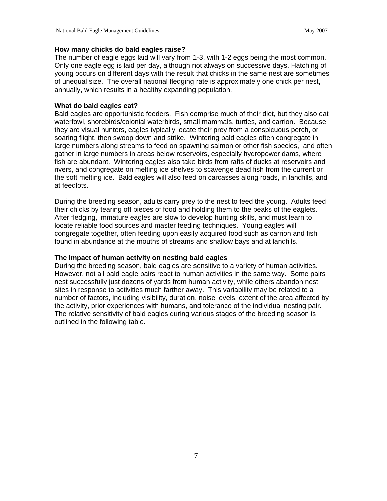## **How many chicks do bald eagles raise?**

The number of eagle eggs laid will vary from 1-3, with 1-2 eggs being the most common. Only one eagle egg is laid per day, although not always on successive days. Hatching of young occurs on different days with the result that chicks in the same nest are sometimes of unequal size. The overall national fledging rate is approximately one chick per nest, annually, which results in a healthy expanding population.

#### **What do bald eagles eat?**

Bald eagles are opportunistic feeders. Fish comprise much of their diet, but they also eat waterfowl, shorebirds/colonial waterbirds, small mammals, turtles, and carrion. Because they are visual hunters, eagles typically locate their prey from a conspicuous perch, or soaring flight, then swoop down and strike. Wintering bald eagles often congregate in large numbers along streams to feed on spawning salmon or other fish species, and often gather in large numbers in areas below reservoirs, especially hydropower dams, where fish are abundant. Wintering eagles also take birds from rafts of ducks at reservoirs and rivers, and congregate on melting ice shelves to scavenge dead fish from the current or the soft melting ice. Bald eagles will also feed on carcasses along roads, in landfills, and at feedlots.

During the breeding season, adults carry prey to the nest to feed the young. Adults feed their chicks by tearing off pieces of food and holding them to the beaks of the eaglets. After fledging, immature eagles are slow to develop hunting skills, and must learn to locate reliable food sources and master feeding techniques. Young eagles will congregate together, often feeding upon easily acquired food such as carrion and fish found in abundance at the mouths of streams and shallow bays and at landfills.

#### **The impact of human activity on nesting bald eagles**

During the breeding season, bald eagles are sensitive to a variety of human activities. However, not all bald eagle pairs react to human activities in the same way. Some pairs nest successfully just dozens of yards from human activity, while others abandon nest sites in response to activities much farther away. This variability may be related to a number of factors, including visibility, duration, noise levels, extent of the area affected by the activity, prior experiences with humans, and tolerance of the individual nesting pair. The relative sensitivity of bald eagles during various stages of the breeding season is outlined in the following table.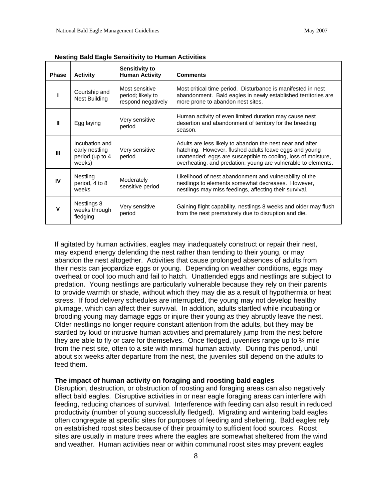| <b>Phase</b> | <b>Activity</b>                                               | <b>Sensitivity to</b><br><b>Human Activity</b>            | <b>Comments</b>                                                                                                                                                                                                                                        |
|--------------|---------------------------------------------------------------|-----------------------------------------------------------|--------------------------------------------------------------------------------------------------------------------------------------------------------------------------------------------------------------------------------------------------------|
|              | Courtship and<br><b>Nest Building</b>                         | Most sensitive<br>period; likely to<br>respond negatively | Most critical time period. Disturbance is manifested in nest<br>abandonment. Bald eagles in newly established territories are<br>more prone to abandon nest sites.                                                                                     |
| $\mathbf{u}$ | Egg laying                                                    | Very sensitive<br>period                                  | Human activity of even limited duration may cause nest<br>desertion and abandonment of territory for the breeding<br>season.                                                                                                                           |
| Ш            | Incubation and<br>early nestling<br>period (up to 4<br>weeks) | Very sensitive<br>period                                  | Adults are less likely to abandon the nest near and after<br>hatching. However, flushed adults leave eggs and young<br>unattended; eggs are susceptible to cooling, loss of moisture,<br>overheating, and predation; young are vulnerable to elements. |
| IV           | Nestling<br>period, 4 to 8<br>weeks                           | Moderately<br>sensitive period                            | Likelihood of nest abandonment and vulnerability of the<br>nestlings to elements somewhat decreases. However,<br>nestlings may miss feedings, affecting their survival.                                                                                |
| v            | Nestlings 8<br>weeks through<br>fledging                      | Very sensitive<br>period                                  | Gaining flight capability, nestlings 8 weeks and older may flush<br>from the nest prematurely due to disruption and die.                                                                                                                               |

**Nesting Bald Eagle Sensitivity to Human Activities**

If agitated by human activities, eagles may inadequately construct or repair their nest, may expend energy defending the nest rather than tending to their young, or may abandon the nest altogether. Activities that cause prolonged absences of adults from their nests can jeopardize eggs or young. Depending on weather conditions, eggs may overheat or cool too much and fail to hatch. Unattended eggs and nestlings are subject to predation. Young nestlings are particularly vulnerable because they rely on their parents to provide warmth or shade, without which they may die as a result of hypothermia or heat stress. If food delivery schedules are interrupted, the young may not develop healthy plumage, which can affect their survival. In addition, adults startled while incubating or brooding young may damage eggs or injure their young as they abruptly leave the nest. Older nestlings no longer require constant attention from the adults, but they may be startled by loud or intrusive human activities and prematurely jump from the nest before they are able to fly or care for themselves. Once fledged, juveniles range up to  $\frac{1}{4}$  mile from the nest site, often to a site with minimal human activity. During this period, until about six weeks after departure from the nest, the juveniles still depend on the adults to feed them.

#### **The impact of human activity on foraging and roosting bald eagles**

Disruption, destruction, or obstruction of roosting and foraging areas can also negatively affect bald eagles. Disruptive activities in or near eagle foraging areas can interfere with feeding, reducing chances of survival. Interference with feeding can also result in reduced productivity (number of young successfully fledged). Migrating and wintering bald eagles often congregate at specific sites for purposes of feeding and sheltering. Bald eagles rely on established roost sites because of their proximity to sufficient food sources. Roost sites are usually in mature trees where the eagles are somewhat sheltered from the wind and weather. Human activities near or within communal roost sites may prevent eagles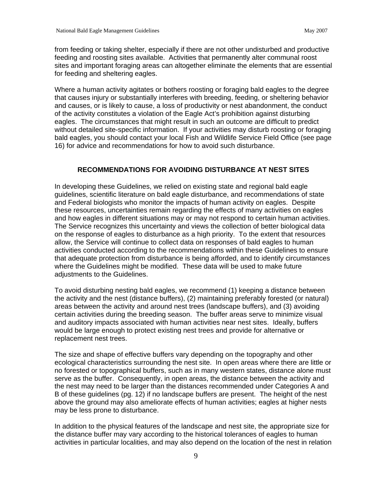from feeding or taking shelter, especially if there are not other undisturbed and productive feeding and roosting sites available. Activities that permanently alter communal roost sites and important foraging areas can altogether eliminate the elements that are essential for feeding and sheltering eagles.

Where a human activity agitates or bothers roosting or foraging bald eagles to the degree that causes injury or substantially interferes with breeding, feeding, or sheltering behavior and causes, or is likely to cause, a loss of productivity or nest abandonment, the conduct of the activity constitutes a violation of the Eagle Act's prohibition against disturbing eagles. The circumstances that might result in such an outcome are difficult to predict without detailed site-specific information. If your activities may disturb roosting or foraging bald eagles, you should contact your local Fish and Wildlife Service Field Office (see page 16) for advice and recommendations for how to avoid such disturbance.

# **RECOMMENDATIONS FOR AVOIDING DISTURBANCE AT NEST SITES**

In developing these Guidelines, we relied on existing state and regional bald eagle guidelines, scientific literature on bald eagle disturbance, and recommendations of state and Federal biologists who monitor the impacts of human activity on eagles. Despite these resources, uncertainties remain regarding the effects of many activities on eagles and how eagles in different situations may or may not respond to certain human activities. The Service recognizes this uncertainty and views the collection of better biological data on the response of eagles to disturbance as a high priority. To the extent that resources allow, the Service will continue to collect data on responses of bald eagles to human activities conducted according to the recommendations within these Guidelines to ensure that adequate protection from disturbance is being afforded, and to identify circumstances where the Guidelines might be modified. These data will be used to make future adjustments to the Guidelines.

To avoid disturbing nesting bald eagles, we recommend (1) keeping a distance between the activity and the nest (distance buffers), (2) maintaining preferably forested (or natural) areas between the activity and around nest trees (landscape buffers), and (3) avoiding certain activities during the breeding season. The buffer areas serve to minimize visual and auditory impacts associated with human activities near nest sites. Ideally, buffers would be large enough to protect existing nest trees and provide for alternative or replacement nest trees.

The size and shape of effective buffers vary depending on the topography and other ecological characteristics surrounding the nest site. In open areas where there are little or no forested or topographical buffers, such as in many western states, distance alone must serve as the buffer. Consequently, in open areas, the distance between the activity and the nest may need to be larger than the distances recommended under Categories A and B of these guidelines (pg. 12) if no landscape buffers are present. The height of the nest above the ground may also ameliorate effects of human activities; eagles at higher nests may be less prone to disturbance.

In addition to the physical features of the landscape and nest site, the appropriate size for the distance buffer may vary according to the historical tolerances of eagles to human activities in particular localities, and may also depend on the location of the nest in relation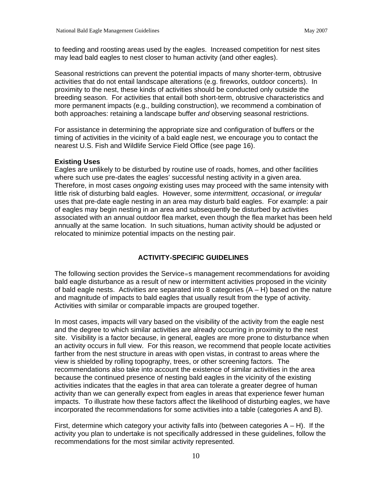to feeding and roosting areas used by the eagles. Increased competition for nest sites may lead bald eagles to nest closer to human activity (and other eagles).

Seasonal restrictions can prevent the potential impacts of many shorter-term, obtrusive activities that do not entail landscape alterations (e.g. fireworks, outdoor concerts). In proximity to the nest, these kinds of activities should be conducted only outside the breeding season. For activities that entail both short-term, obtrusive characteristics and more permanent impacts (e.g., building construction), we recommend a combination of both approaches: retaining a landscape buffer *and* observing seasonal restrictions.

For assistance in determining the appropriate size and configuration of buffers or the timing of activities in the vicinity of a bald eagle nest, we encourage you to contact the nearest U.S. Fish and Wildlife Service Field Office (see page 16).

#### **Existing Uses**

Eagles are unlikely to be disturbed by routine use of roads, homes, and other facilities where such use pre-dates the eagles' successful nesting activity in a given area. Therefore, in most cases *ongoing* existing uses may proceed with the same intensity with little risk of disturbing bald eagles. However, some *intermittent, occasional, or irregular*  uses that pre-date eagle nesting in an area may disturb bald eagles. For example: a pair of eagles may begin nesting in an area and subsequently be disturbed by activities associated with an annual outdoor flea market, even though the flea market has been held annually at the same location. In such situations, human activity should be adjusted or relocated to minimize potential impacts on the nesting pair.

# **ACTIVITY-SPECIFIC GUIDELINES**

The following section provides the Service=s management recommendations for avoiding bald eagle disturbance as a result of new or intermittent activities proposed in the vicinity of bald eagle nests. Activities are separated into 8 categories  $(A - H)$  based on the nature and magnitude of impacts to bald eagles that usually result from the type of activity. Activities with similar or comparable impacts are grouped together.

In most cases, impacts will vary based on the visibility of the activity from the eagle nest and the degree to which similar activities are already occurring in proximity to the nest site. Visibility is a factor because, in general, eagles are more prone to disturbance when an activity occurs in full view. For this reason, we recommend that people locate activities farther from the nest structure in areas with open vistas, in contrast to areas where the view is shielded by rolling topography, trees, or other screening factors. The recommendations also take into account the existence of similar activities in the area because the continued presence of nesting bald eagles in the vicinity of the existing activities indicates that the eagles in that area can tolerate a greater degree of human activity than we can generally expect from eagles in areas that experience fewer human impacts. To illustrate how these factors affect the likelihood of disturbing eagles, we have incorporated the recommendations for some activities into a table (categories A and B).

First, determine which category your activity falls into (between categories  $A - H$ ). If the activity you plan to undertake is not specifically addressed in these guidelines, follow the recommendations for the most similar activity represented.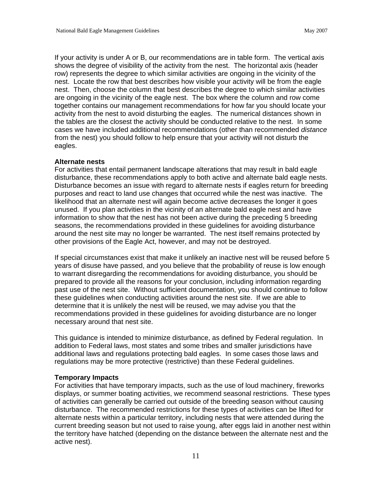If your activity is under A or B, our recommendations are in table form. The vertical axis shows the degree of visibility of the activity from the nest. The horizontal axis (header row) represents the degree to which similar activities are ongoing in the vicinity of the nest. Locate the row that best describes how visible your activity will be from the eagle nest. Then, choose the column that best describes the degree to which similar activities are ongoing in the vicinity of the eagle nest. The box where the column and row come together contains our management recommendations for how far you should locate your activity from the nest to avoid disturbing the eagles. The numerical distances shown in the tables are the closest the activity should be conducted relative to the nest. In some cases we have included additional recommendations (other than recommended *distance* from the nest) you should follow to help ensure that your activity will not disturb the eagles.

#### **Alternate nests**

For activities that entail permanent landscape alterations that may result in bald eagle disturbance, these recommendations apply to both active and alternate bald eagle nests. Disturbance becomes an issue with regard to alternate nests if eagles return for breeding purposes and react to land use changes that occurred while the nest was inactive. The likelihood that an alternate nest will again become active decreases the longer it goes unused. If you plan activities in the vicinity of an alternate bald eagle nest and have information to show that the nest has not been active during the preceding 5 breeding seasons, the recommendations provided in these guidelines for avoiding disturbance around the nest site may no longer be warranted. The nest itself remains protected by other provisions of the Eagle Act, however, and may not be destroyed.

If special circumstances exist that make it unlikely an inactive nest will be reused before 5 years of disuse have passed, and you believe that the probability of reuse is low enough to warrant disregarding the recommendations for avoiding disturbance, you should be prepared to provide all the reasons for your conclusion, including information regarding past use of the nest site. Without sufficient documentation, you should continue to follow these guidelines when conducting activities around the nest site. If we are able to determine that it is unlikely the nest will be reused, we may advise you that the recommendations provided in these guidelines for avoiding disturbance are no longer necessary around that nest site.

This guidance is intended to minimize disturbance, as defined by Federal regulation. In addition to Federal laws, most states and some tribes and smaller jurisdictions have additional laws and regulations protecting bald eagles. In some cases those laws and regulations may be more protective (restrictive) than these Federal guidelines.

#### **Temporary Impacts**

For activities that have temporary impacts, such as the use of loud machinery, fireworks displays, or summer boating activities, we recommend seasonal restrictions. These types of activities can generally be carried out outside of the breeding season without causing disturbance. The recommended restrictions for these types of activities can be lifted for alternate nests within a particular territory, including nests that were attended during the current breeding season but not used to raise young, after eggs laid in another nest within the territory have hatched (depending on the distance between the alternate nest and the active nest).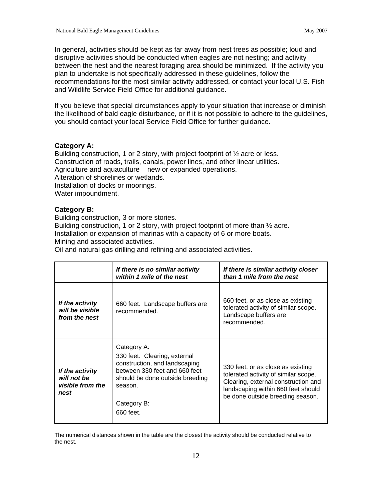In general, activities should be kept as far away from nest trees as possible; loud and disruptive activities should be conducted when eagles are not nesting; and activity between the nest and the nearest foraging area should be minimized. If the activity you plan to undertake is not specifically addressed in these guidelines, follow the recommendations for the most similar activity addressed, or contact your local U.S. Fish and Wildlife Service Field Office for additional guidance.

If you believe that special circumstances apply to your situation that increase or diminish the likelihood of bald eagle disturbance, or if it is not possible to adhere to the guidelines, you should contact your local Service Field Office for further guidance.

# **Category A:**

Building construction, 1 or 2 story, with project footprint of  $\frac{1}{2}$  acre or less. Construction of roads, trails, canals, power lines, and other linear utilities. Agriculture and aquaculture – new or expanded operations. Alteration of shorelines or wetlands. Installation of docks or moorings. Water impoundment.

#### **Category B:**

Building construction, 3 or more stories. Building construction, 1 or 2 story, with project footprint of more than ½ acre. Installation or expansion of marinas with a capacity of 6 or more boats. Mining and associated activities. Oil and natural gas drilling and refining and associated activities.

|                                                            | If there is no similar activity<br>within 1 mile of the nest                                                                                                                            | If there is similar activity closer<br>than 1 mile from the nest                                                                                                                           |
|------------------------------------------------------------|-----------------------------------------------------------------------------------------------------------------------------------------------------------------------------------------|--------------------------------------------------------------------------------------------------------------------------------------------------------------------------------------------|
| If the activity<br>will be visible<br>from the nest        | 660 feet. Landscape buffers are<br>recommended.                                                                                                                                         | 660 feet, or as close as existing<br>tolerated activity of similar scope.<br>Landscape buffers are<br>recommended.                                                                         |
| If the activity<br>will not be<br>visible from the<br>nest | Category A:<br>330 feet. Clearing, external<br>construction, and landscaping<br>between 330 feet and 660 feet<br>should be done outside breeding<br>season.<br>Category B:<br>660 feet. | 330 feet, or as close as existing<br>tolerated activity of similar scope.<br>Clearing, external construction and<br>landscaping within 660 feet should<br>be done outside breeding season. |

The numerical distances shown in the table are the closest the activity should be conducted relative to the nest.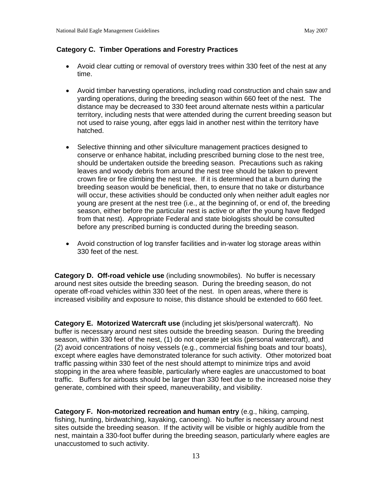# **Category C. Timber Operations and Forestry Practices**

- Avoid clear cutting or removal of overstory trees within 330 feet of the nest at any time.
- Avoid timber harvesting operations, including road construction and chain saw and yarding operations, during the breeding season within 660 feet of the nest. The distance may be decreased to 330 feet around alternate nests within a particular territory, including nests that were attended during the current breeding season but not used to raise young, after eggs laid in another nest within the territory have hatched.
- Selective thinning and other silviculture management practices designed to conserve or enhance habitat, including prescribed burning close to the nest tree, should be undertaken outside the breeding season. Precautions such as raking leaves and woody debris from around the nest tree should be taken to prevent crown fire or fire climbing the nest tree. If it is determined that a burn during the breeding season would be beneficial, then, to ensure that no take or disturbance will occur, these activities should be conducted only when neither adult eagles nor young are present at the nest tree (i.e., at the beginning of, or end of, the breeding season, either before the particular nest is active or after the young have fledged from that nest). Appropriate Federal and state biologists should be consulted before any prescribed burning is conducted during the breeding season.
- Avoid construction of log transfer facilities and in-water log storage areas within 330 feet of the nest.

**Category D. Off-road vehicle use** (including snowmobiles). No buffer is necessary around nest sites outside the breeding season. During the breeding season, do not operate off-road vehicles within 330 feet of the nest. In open areas, where there is increased visibility and exposure to noise, this distance should be extended to 660 feet.

**Category E. Motorized Watercraft use** (including jet skis/personal watercraft).No buffer is necessary around nest sites outside the breeding season. During the breeding season, within 330 feet of the nest, (1) do not operate jet skis (personal watercraft), and (2) avoid concentrations of noisy vessels (e.g., commercial fishing boats and tour boats), except where eagles have demonstrated tolerance for such activity. Other motorized boat traffic passing within 330 feet of the nest should attempt to minimize trips and avoid stopping in the area where feasible, particularly where eagles are unaccustomed to boat traffic. Buffers for airboats should be larger than 330 feet due to the increased noise they generate, combined with their speed, maneuverability, and visibility.

**Category F. Non-motorized recreation and human entry** (e.g., hiking, camping, fishing, hunting, birdwatching, kayaking, canoeing). No buffer is necessary around nest sites outside the breeding season. If the activity will be visible or highly audible from the nest, maintain a 330-foot buffer during the breeding season, particularly where eagles are unaccustomed to such activity.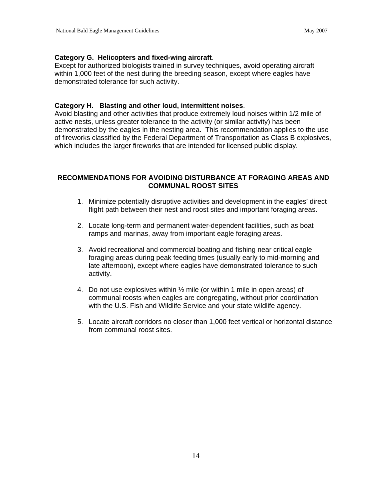# **Category G. Helicopters and fixed-wing aircraft**.

Except for authorized biologists trained in survey techniques, avoid operating aircraft within 1,000 feet of the nest during the breeding season, except where eagles have demonstrated tolerance for such activity.

# **Category H. Blasting and other loud, intermittent noises**.

Avoid blasting and other activities that produce extremely loud noises within 1/2 mile of active nests, unless greater tolerance to the activity (or similar activity) has been demonstrated by the eagles in the nesting area. This recommendation applies to the use of fireworks classified by the Federal Department of Transportation as Class B explosives, which includes the larger fireworks that are intended for licensed public display.

# **RECOMMENDATIONS FOR AVOIDING DISTURBANCE AT FORAGING AREAS AND COMMUNAL ROOST SITES**

- 1. Minimize potentially disruptive activities and development in the eagles' direct flight path between their nest and roost sites and important foraging areas.
- 2. Locate long-term and permanent water-dependent facilities, such as boat ramps and marinas, away from important eagle foraging areas.
- 3. Avoid recreational and commercial boating and fishing near critical eagle foraging areas during peak feeding times (usually early to mid-morning and late afternoon), except where eagles have demonstrated tolerance to such activity.
- 4. Do not use explosives within ½ mile (or within 1 mile in open areas) of communal roosts when eagles are congregating, without prior coordination with the U.S. Fish and Wildlife Service and your state wildlife agency.
- 5. Locate aircraft corridors no closer than 1,000 feet vertical or horizontal distance from communal roost sites.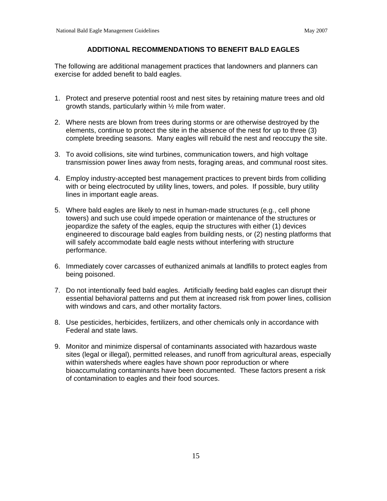#### **ADDITIONAL RECOMMENDATIONS TO BENEFIT BALD EAGLES**

The following are additional management practices that landowners and planners can exercise for added benefit to bald eagles.

- 1. Protect and preserve potential roost and nest sites by retaining mature trees and old growth stands, particularly within ½ mile from water.
- 2. Where nests are blown from trees during storms or are otherwise destroyed by the elements, continue to protect the site in the absence of the nest for up to three (3) complete breeding seasons. Many eagles will rebuild the nest and reoccupy the site.
- 3. To avoid collisions, site wind turbines, communication towers, and high voltage transmission power lines away from nests, foraging areas, and communal roost sites.
- 4. Employ industry-accepted best management practices to prevent birds from colliding with or being electrocuted by utility lines, towers, and poles. If possible, bury utility lines in important eagle areas.
- 5. Where bald eagles are likely to nest in human-made structures (e.g., cell phone towers) and such use could impede operation or maintenance of the structures or jeopardize the safety of the eagles, equip the structures with either (1) devices engineered to discourage bald eagles from building nests, or (2) nesting platforms that will safely accommodate bald eagle nests without interfering with structure performance.
- 6. Immediately cover carcasses of euthanized animals at landfills to protect eagles from being poisoned.
- 7. Do not intentionally feed bald eagles. Artificially feeding bald eagles can disrupt their essential behavioral patterns and put them at increased risk from power lines, collision with windows and cars, and other mortality factors.
- 8. Use pesticides, herbicides, fertilizers, and other chemicals only in accordance with Federal and state laws.
- 9. Monitor and minimize dispersal of contaminants associated with hazardous waste sites (legal or illegal), permitted releases, and runoff from agricultural areas, especially within watersheds where eagles have shown poor reproduction or where bioaccumulating contaminants have been documented. These factors present a risk of contamination to eagles and their food sources.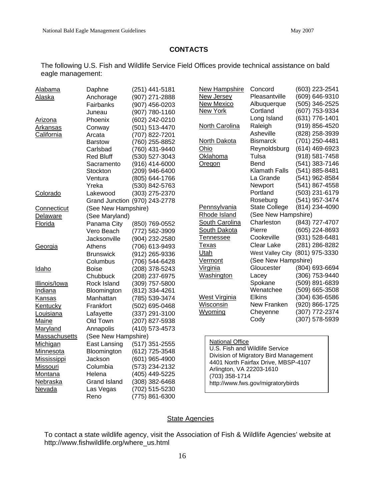# **CONTACTS**

The following U.S. Fish and Wildlife Service Field Offices provide technical assistance on bald eagle management:

| New Jersey<br>Pleasantville<br>(609) 646-9310<br>Alaska<br>Anchorage<br>(907) 271-2888<br><b>New Mexico</b><br>Albuquerque<br>(505) 346-2525<br>Fairbanks<br>(907) 456-0203<br><b>New York</b><br>Cortland<br>(607) 753-9334 |  |
|------------------------------------------------------------------------------------------------------------------------------------------------------------------------------------------------------------------------------|--|
|                                                                                                                                                                                                                              |  |
|                                                                                                                                                                                                                              |  |
| Juneau<br>(907) 780-1160                                                                                                                                                                                                     |  |
| Long Island<br>(631) 776-1401<br>Phoenix<br>(602) 242-0210<br>Arizona                                                                                                                                                        |  |
| Raleigh<br>North Carolina<br>(919) 856-4520<br>Arkansas<br>(501) 513-4470<br>Conway                                                                                                                                          |  |
| Asheville<br>(828) 258-3939<br>California<br>Arcata<br>(707) 822-7201                                                                                                                                                        |  |
| <b>Bismarck</b><br>(701) 250-4481<br>North Dakota<br><b>Barstow</b><br>(760) 255-8852                                                                                                                                        |  |
| Ohio<br>(614) 469-6923<br>Reynoldsburg<br>Carlsbad<br>(760) 431-9440                                                                                                                                                         |  |
| (918) 581-7458<br>Oklahoma<br>Tulsa<br><b>Red Bluff</b><br>(530) 527-3043                                                                                                                                                    |  |
| Bend<br>(541) 383-7146<br>(916) 414-6000<br>Sacramento<br>Oregon                                                                                                                                                             |  |
| <b>Klamath Falls</b><br>(541) 885-8481<br>Stockton<br>(209) 946-6400                                                                                                                                                         |  |
| La Grande<br>(541) 962-8584<br>Ventura<br>(805) 644-1766                                                                                                                                                                     |  |
| Yreka<br>Newport<br>(541) 867-4558<br>(530) 842-5763                                                                                                                                                                         |  |
| Portland<br>(503) 231-6179<br>(303) 275-2370<br>Colorado<br>Lakewood                                                                                                                                                         |  |
| Roseburg<br>(541) 957-3474<br>Grand Junction (970) 243-2778                                                                                                                                                                  |  |
| <b>State College</b><br>(814) 234-4090<br>Pennsylvania<br>(See New Hampshire)<br>Connecticut                                                                                                                                 |  |
| Rhode Island<br>(See New Hampshire)<br>(See Maryland)<br>Delaware                                                                                                                                                            |  |
| South Carolina<br>Charleston<br>(843) 727-4707<br>Florida<br>Panama City<br>(850) 769-0552                                                                                                                                   |  |
| South Dakota<br>Pierre<br>(605) 224-8693<br>Vero Beach<br>(772) 562-3909                                                                                                                                                     |  |
| Cookeville<br>Tennessee<br>(931) 528-6481<br>Jacksonville<br>(904) 232-2580                                                                                                                                                  |  |
| <b>Clear Lake</b><br>(281) 286-8282<br><b>Texas</b><br>Georgia<br>Athens<br>(706) 613-9493                                                                                                                                   |  |
| West Valley City (801) 975-3330<br>Utah<br><b>Brunswick</b><br>(912) 265-9336                                                                                                                                                |  |
| (See New Hampshire)<br>Vermont<br>Columbus<br>(706) 544-6428                                                                                                                                                                 |  |
| <b>Virginia</b><br>Gloucester<br>(804) 693-6694<br><b>Boise</b><br>(208) 378-5243<br><u>Idaho</u>                                                                                                                            |  |
| Washington<br>Lacey<br>(306) 753-9440<br>Chubbuck<br>(208) 237-6975                                                                                                                                                          |  |
| Spokane<br>(509) 891-6839<br>Rock Island<br>(309) 757-5800<br><b>Illinois/Iowa</b>                                                                                                                                           |  |
| Wenatchee<br>(509) 665-3508<br>Indiana<br>Bloomington<br>(812) 334-4261                                                                                                                                                      |  |
| <b>West Virginia</b><br><b>Elkins</b><br>(304) 636-6586<br>Kansas<br>Manhattan<br>(785) 539-3474                                                                                                                             |  |
| Wisconsin<br>New Franken<br>(920) 866-1725<br>Frankfort<br>(502) 695-0468<br><b>Kentucky</b>                                                                                                                                 |  |
| Wyoming<br>Cheyenne<br>(307) 772-2374<br>Lafayette<br>(337) 291-3100<br>Louisiana                                                                                                                                            |  |
| Cody<br>(307) 578-5939<br>Old Town<br>Maine<br>(207) 827-5938                                                                                                                                                                |  |
| Maryland<br>Annapolis<br>(410) 573-4573                                                                                                                                                                                      |  |
| <b>Massachusetts</b><br>(See New Hampshire)                                                                                                                                                                                  |  |
| <b>National Office</b><br>Michigan<br>East Lansing<br>(517) 351-2555                                                                                                                                                         |  |
| U.S. Fish and Wildlife Service<br>Minnesota<br>Bloomington<br>(612) 725-3548                                                                                                                                                 |  |
| Division of Migratory Bird Management<br>Mississippi<br>Jackson<br>(601) 965-4900                                                                                                                                            |  |
| 4401 North Fairfax Drive, MBSP-4107<br>Columbia<br>(573) 234-2132<br><b>Missouri</b>                                                                                                                                         |  |
| Arlington, VA 22203-1610<br>Montana<br>Helena<br>(405) 449-5225                                                                                                                                                              |  |
| (703) 358-1714<br>Nebraska<br><b>Grand Island</b><br>(308) 382-6468                                                                                                                                                          |  |
| http://www.fws.gov/migratorybirds<br>Nevada<br>Las Vegas<br>(702) 515-5230                                                                                                                                                   |  |
| Reno<br>(775) 861-6300                                                                                                                                                                                                       |  |

# **State Agencies**

To contact a state wildlife agency, visit the Association of Fish & Wildlife Agencies' website at http://www.fishwildlife.org/where\_us.html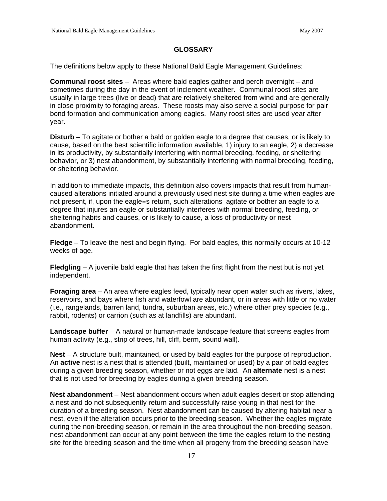# **GLOSSARY**

The definitions below apply to these National Bald Eagle Management Guidelines:

**Communal roost sites** – Areas where bald eagles gather and perch overnight – and sometimes during the day in the event of inclement weather. Communal roost sites are usually in large trees (live or dead) that are relatively sheltered from wind and are generally in close proximity to foraging areas. These roosts may also serve a social purpose for pair bond formation and communication among eagles. Many roost sites are used year after year.

**Disturb** – To agitate or bother a bald or golden eagle to a degree that causes, or is likely to cause, based on the best scientific information available, 1) injury to an eagle, 2) a decrease in its productivity, by substantially interfering with normal breeding, feeding, or sheltering behavior, or 3) nest abandonment, by substantially interfering with normal breeding, feeding, or sheltering behavior.

In addition to immediate impacts, this definition also covers impacts that result from humancaused alterations initiated around a previously used nest site during a time when eagles are not present, if, upon the eagle=s return, such alterations agitate or bother an eagle to a degree that injures an eagle or substantially interferes with normal breeding, feeding, or sheltering habits and causes, or is likely to cause, a loss of productivity or nest abandonment.

**Fledge** – To leave the nest and begin flying. For bald eagles, this normally occurs at 10-12 weeks of age.

**Fledgling** – A juvenile bald eagle that has taken the first flight from the nest but is not yet independent.

**Foraging area** – An area where eagles feed, typically near open water such as rivers, lakes, reservoirs, and bays where fish and waterfowl are abundant, or in areas with little or no water (i.e., rangelands, barren land, tundra, suburban areas, etc.) where other prey species (e.g., rabbit, rodents) or carrion (such as at landfills) are abundant.

**Landscape buffer** – A natural or human-made landscape feature that screens eagles from human activity (e.g., strip of trees, hill, cliff, berm, sound wall).

**Nest** – A structure built, maintained, or used by bald eagles for the purpose of reproduction. An **active** nest is a nest that is attended (built, maintained or used) by a pair of bald eagles during a given breeding season, whether or not eggs are laid. An **alternate** nest is a nest that is not used for breeding by eagles during a given breeding season.

**Nest abandonment** – Nest abandonment occurs when adult eagles desert or stop attending a nest and do not subsequently return and successfully raise young in that nest for the duration of a breeding season. Nest abandonment can be caused by altering habitat near a nest, even if the alteration occurs prior to the breeding season. Whether the eagles migrate during the non-breeding season, or remain in the area throughout the non-breeding season, nest abandonment can occur at any point between the time the eagles return to the nesting site for the breeding season and the time when all progeny from the breeding season have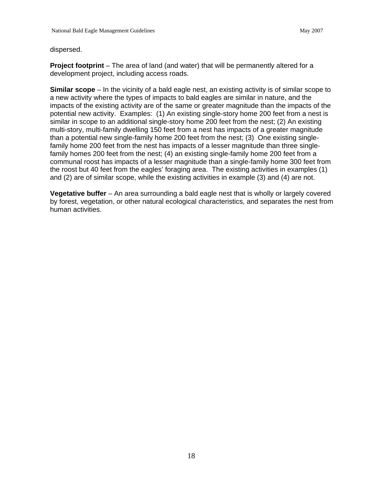#### dispersed.

**Project footprint** – The area of land (and water) that will be permanently altered for a development project, including access roads.

**Similar scope** – In the vicinity of a bald eagle nest, an existing activity is of similar scope to a new activity where the types of impacts to bald eagles are similar in nature, and the impacts of the existing activity are of the same or greater magnitude than the impacts of the potential new activity. Examples: (1) An existing single-story home 200 feet from a nest is similar in scope to an additional single-story home 200 feet from the nest; (2) An existing multi-story, multi-family dwelling 150 feet from a nest has impacts of a greater magnitude than a potential new single-family home 200 feet from the nest; (3) One existing singlefamily home 200 feet from the nest has impacts of a lesser magnitude than three singlefamily homes 200 feet from the nest; (4) an existing single-family home 200 feet from a communal roost has impacts of a lesser magnitude than a single-family home 300 feet from the roost but 40 feet from the eagles' foraging area. The existing activities in examples (1) and (2) are of similar scope, while the existing activities in example (3) and (4) are not.

**Vegetative buffer** – An area surrounding a bald eagle nest that is wholly or largely covered by forest, vegetation, or other natural ecological characteristics, and separates the nest from human activities.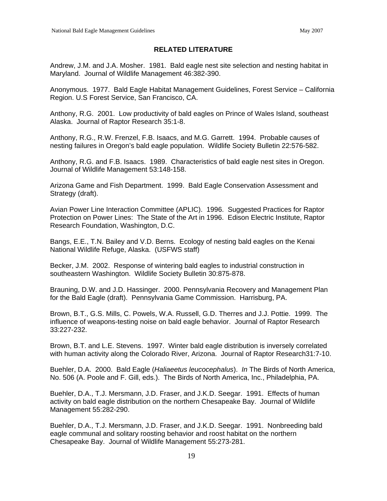# **RELATED LITERATURE**

Andrew, J.M. and J.A. Mosher. 1981. Bald eagle nest site selection and nesting habitat in Maryland. Journal of Wildlife Management 46:382-390.

Anonymous. 1977. Bald Eagle Habitat Management Guidelines, Forest Service – California Region. U.S Forest Service, San Francisco, CA.

Anthony, R.G. 2001. Low productivity of bald eagles on Prince of Wales Island, southeast Alaska. Journal of Raptor Research 35:1-8.

Anthony, R.G., R.W. Frenzel, F.B. Isaacs, and M.G. Garrett. 1994. Probable causes of nesting failures in Oregon's bald eagle population. Wildlife Society Bulletin 22:576-582.

Anthony, R.G. and F.B. Isaacs. 1989. Characteristics of bald eagle nest sites in Oregon. Journal of Wildlife Management 53:148-158.

Arizona Game and Fish Department. 1999. Bald Eagle Conservation Assessment and Strategy (draft).

Avian Power Line Interaction Committee (APLIC). 1996. Suggested Practices for Raptor Protection on Power Lines: The State of the Art in 1996. Edison Electric Institute, Raptor Research Foundation, Washington, D.C.

Bangs, E.E., T.N. Bailey and V.D. Berns. Ecology of nesting bald eagles on the Kenai National Wildlife Refuge, Alaska. (USFWS staff)

Becker, J.M. 2002. Response of wintering bald eagles to industrial construction in southeastern Washington. Wildlife Society Bulletin 30:875-878.

Brauning, D.W. and J.D. Hassinger. 2000. Pennsylvania Recovery and Management Plan for the Bald Eagle (draft). Pennsylvania Game Commission. Harrisburg, PA.

Brown, B.T., G.S. Mills, C. Powels, W.A. Russell, G.D. Therres and J.J. Pottie. 1999. The influence of weapons-testing noise on bald eagle behavior. Journal of Raptor Research 33:227-232.

Brown, B.T. and L.E. Stevens. 1997. Winter bald eagle distribution is inversely correlated with human activity along the Colorado River, Arizona. Journal of Raptor Research31:7-10.

Buehler, D.A. 2000. Bald Eagle (*Haliaeetus leucocephalus*). *In* The Birds of North America, No. 506 (A. Poole and F. Gill, eds.). The Birds of North America, Inc., Philadelphia, PA.

Buehler, D.A., T.J. Mersmann, J.D. Fraser, and J.K.D. Seegar. 1991. Effects of human activity on bald eagle distribution on the northern Chesapeake Bay. Journal of Wildlife Management 55:282-290.

Buehler, D.A., T.J. Mersmann, J.D. Fraser, and J.K.D. Seegar. 1991. Nonbreeding bald eagle communal and solitary roosting behavior and roost habitat on the northern Chesapeake Bay. Journal of Wildlife Management 55:273-281.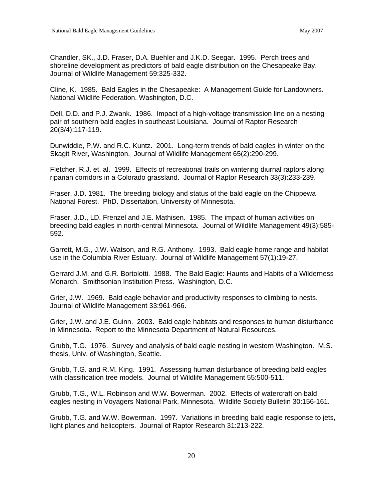Chandler, SK., J.D. Fraser, D.A. Buehler and J.K.D. Seegar. 1995. Perch trees and shoreline development as predictors of bald eagle distribution on the Chesapeake Bay. Journal of Wildlife Management 59:325-332.

Cline, K. 1985. Bald Eagles in the Chesapeake: A Management Guide for Landowners. National Wildlife Federation. Washington, D.C.

Dell, D.D. and P.J. Zwank. 1986. Impact of a high-voltage transmission line on a nesting pair of southern bald eagles in southeast Louisiana. Journal of Raptor Research 20(3/4):117-119.

Dunwiddie, P.W. and R.C. Kuntz. 2001. Long-term trends of bald eagles in winter on the Skagit River, Washington. Journal of Wildlife Management 65(2):290-299.

Fletcher, R.J. et. al. 1999. Effects of recreational trails on wintering diurnal raptors along riparian corridors in a Colorado grassland. Journal of Raptor Research 33(3):233-239.

Fraser, J.D. 1981. The breeding biology and status of the bald eagle on the Chippewa National Forest. PhD. Dissertation, University of Minnesota.

Fraser, J.D., LD. Frenzel and J.E. Mathisen. 1985. The impact of human activities on breeding bald eagles in north-central Minnesota. Journal of Wildlife Management 49(3):585- 592.

Garrett, M.G., J.W. Watson, and R.G. Anthony. 1993. Bald eagle home range and habitat use in the Columbia River Estuary. Journal of Wildlife Management 57(1):19-27.

Gerrard J.M. and G.R. Bortolotti. 1988. The Bald Eagle: Haunts and Habits of a Wilderness Monarch. Smithsonian Institution Press. Washington, D.C.

Grier, J.W. 1969. Bald eagle behavior and productivity responses to climbing to nests. Journal of Wildlife Management 33:961-966.

Grier, J.W. and J.E. Guinn. 2003. Bald eagle habitats and responses to human disturbance in Minnesota. Report to the Minnesota Department of Natural Resources.

Grubb, T.G. 1976. Survey and analysis of bald eagle nesting in western Washington. M.S. thesis, Univ. of Washington, Seattle.

Grubb, T.G. and R.M. King. 1991. Assessing human disturbance of breeding bald eagles with classification tree models. Journal of Wildlife Management 55:500-511.

Grubb, T.G., W.L. Robinson and W.W. Bowerman. 2002. Effects of watercraft on bald eagles nesting in Voyagers National Park, Minnesota. Wildlife Society Bulletin 30:156-161.

Grubb, T.G. and W.W. Bowerman. 1997. Variations in breeding bald eagle response to jets, light planes and helicopters. Journal of Raptor Research 31:213-222.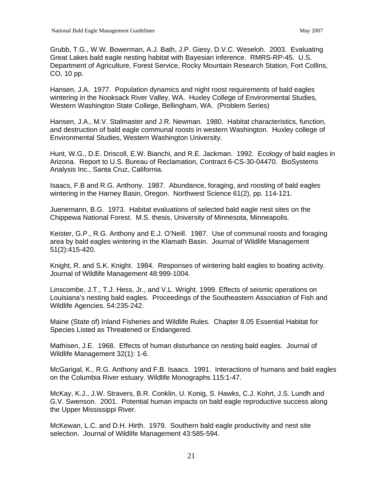Grubb, T.G., W.W. Bowerman, A.J. Bath, J.P. Giesy, D.V.C. Weseloh. 2003. Evaluating Great Lakes bald eagle nesting habitat with Bayesian inference. RMRS-RP-45. U.S. Department of Agriculture, Forest Service, Rocky Mountain Research Station, Fort Collins, CO, 10 pp.

Hansen, J.A. 1977. Population dynamics and night roost requirements of bald eagles wintering in the Nooksack River Valley, WA. Huxley College of Environmental Studies, Western Washington State College, Bellingham, WA. (Problem Series)

Hansen, J.A., M.V. Stalmaster and J.R. Newman. 1980. Habitat characteristics, function, and destruction of bald eagle communal roosts in western Washington. Huxley college of Environmental Studies, Western Washington University.

Hunt, W.G., D.E. Driscoll, E.W. Bianchi, and R.E. Jackman. 1992. Ecology of bald eagles in Arizona. Report to U.S. Bureau of Reclamation, Contract 6-CS-30-04470. BioSystems Analysis Inc., Santa Cruz, California.

Isaacs, F.B and R.G. Anthony. 1987. Abundance, foraging, and roosting of bald eagles wintering in the Harney Basin, Oregon. Northwest Science 61(2), pp. 114-121.

Juenemann, B.G. 1973. Habitat evaluations of selected bald eagle nest sites on the Chippewa National Forest. M.S. thesis, University of Minnesota, Minneapolis.

Keister, G.P., R.G. Anthony and E.J. O'Neill. 1987. Use of communal roosts and foraging area by bald eagles wintering in the Klamath Basin. Journal of Wildlife Management 51(2):415-420.

Knight, R. and S.K. Knight. 1984. Responses of wintering bald eagles to boating activity. Journal of Wildlife Management 48:999-1004.

Linscombe, J.T., T.J. Hess, Jr., and V.L. Wright. 1999. Effects of seismic operations on Louisiana's nesting bald eagles. Proceedings of the Southeastern Association of Fish and Wildlife Agencies. 54:235-242.

Maine (State of) Inland Fisheries and Wildlife Rules. Chapter 8.05 Essential Habitat for Species Listed as Threatened or Endangered.

Mathisen, J.E. 1968. Effects of human disturbance on nesting bald eagles. Journal of Wildlife Management 32(1): 1-6.

McGarigal, K., R.G. Anthony and F.B. Isaacs. 1991. Interactions of humans and bald eagles on the Columbia River estuary. Wildlife Monographs 115:1-47.

McKay, K.J., J.W. Stravers, B.R. Conklin, U. Konig, S. Hawks, C.J. Kohrt, J.S. Lundh and G.V. Swenson. 2001. Potential human impacts on bald eagle reproductive success along the Upper Mississippi River.

McKewan, L.C. and D.H. Hirth. 1979. Southern bald eagle productivity and nest site selection. Journal of Wildlife Management 43:585-594.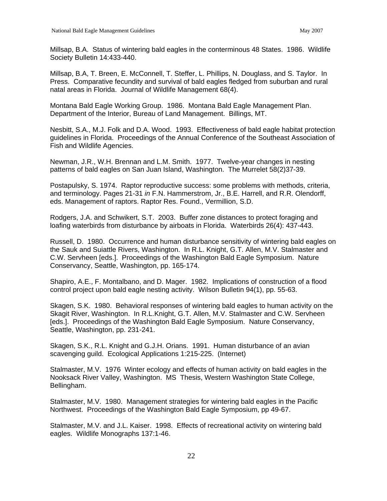Millsap, B.A. Status of wintering bald eagles in the conterminous 48 States. 1986. Wildlife Society Bulletin 14:433-440.

Millsap, B.A, T. Breen, E. McConnell, T. Steffer, L. Phillips, N. Douglass, and S. Taylor. In Press. Comparative fecundity and survival of bald eagles fledged from suburban and rural natal areas in Florida. Journal of Wildlife Management 68(4).

Montana Bald Eagle Working Group. 1986. Montana Bald Eagle Management Plan. Department of the Interior, Bureau of Land Management. Billings, MT.

Nesbitt, S.A., M.J. Folk and D.A. Wood. 1993. Effectiveness of bald eagle habitat protection guidelines in Florida. Proceedings of the Annual Conference of the Southeast Association of Fish and Wildlife Agencies.

Newman, J.R., W.H. Brennan and L.M. Smith. 1977. Twelve-year changes in nesting patterns of bald eagles on San Juan Island, Washington. The Murrelet 58(2)37-39.

Postapulsky, S. 1974. Raptor reproductive success: some problems with methods, criteria, and terminology. Pages 21-31 *in* F.N. Hammerstrom, Jr., B.E. Harrell, and R.R. Olendorff, eds. Management of raptors. Raptor Res. Found., Vermillion, S.D.

Rodgers, J.A. and Schwikert, S.T. 2003. Buffer zone distances to protect foraging and loafing waterbirds from disturbance by airboats in Florida. Waterbirds 26(4): 437-443.

Russell, D. 1980. Occurrence and human disturbance sensitivity of wintering bald eagles on the Sauk and Suiattle Rivers, Washington. In R.L. Knight, G.T. Allen, M.V. Stalmaster and C.W. Servheen [eds.]. Proceedings of the Washington Bald Eagle Symposium. Nature Conservancy, Seattle, Washington, pp. 165-174.

Shapiro, A.E., F. Montalbano, and D. Mager. 1982. Implications of construction of a flood control project upon bald eagle nesting activity. Wilson Bulletin 94(1), pp. 55-63.

Skagen, S.K. 1980. Behavioral responses of wintering bald eagles to human activity on the Skagit River, Washington. In R.L.Knight, G.T. Allen, M.V. Stalmaster and C.W. Servheen [eds.]. Proceedings of the Washington Bald Eagle Symposium. Nature Conservancy, Seattle, Washington, pp. 231-241.

Skagen, S.K., R.L. Knight and G.J.H. Orians. 1991. Human disturbance of an avian scavenging guild. Ecological Applications 1:215-225. (Internet)

Stalmaster, M.V. 1976 Winter ecology and effects of human activity on bald eagles in the Nooksack River Valley, Washington. MS Thesis, Western Washington State College, Bellingham.

Stalmaster, M.V. 1980. Management strategies for wintering bald eagles in the Pacific Northwest. Proceedings of the Washington Bald Eagle Symposium, pp 49-67.

Stalmaster, M.V. and J.L. Kaiser. 1998. Effects of recreational activity on wintering bald eagles. Wildlife Monographs 137:1-46.